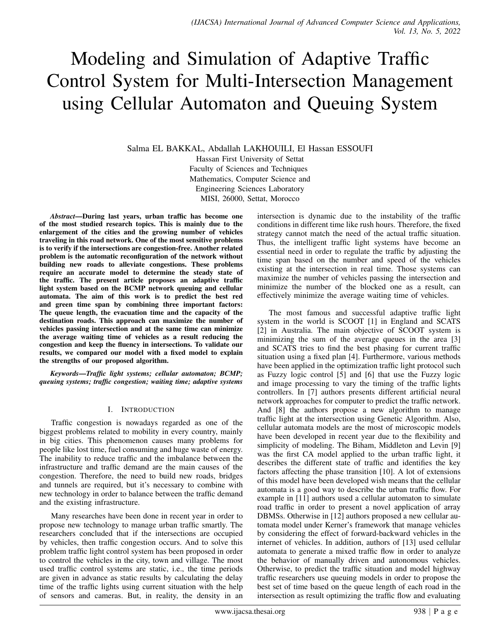# Modeling and Simulation of Adaptive Traffic Control System for Multi-Intersection Management using Cellular Automaton and Queuing System

Salma EL BAKKAL, Abdallah LAKHOUILI, El Hassan ESSOUFI Hassan First University of Settat Faculty of Sciences and Techniques Mathematics, Computer Science and Engineering Sciences Laboratory MISI, 26000, Settat, Morocco

*Abstract*—During last years, urban traffic has become one of the most studied research topics. This is mainly due to the enlargement of the cities and the growing number of vehicles traveling in this road network. One of the most sensitive problems is to verify if the intersections are congestion-free. Another related problem is the automatic reconfiguration of the network without building new roads to alleviate congestions. These problems require an accurate model to determine the steady state of the traffic. The present article proposes an adaptive traffic light system based on the BCMP network queuing and cellular automata. The aim of this work is to predict the best red and green time span by combining three important factors: The queue length, the evacuation time and the capacity of the destination roads. This approach can maximize the number of vehicles passing intersection and at the same time can minimize the average waiting time of vehicles as a result reducing the congestion and keep the fluency in intersections. To validate our results, we compared our model with a fixed model to explain the strengths of our proposed algorithm.

*Keywords*—*Traffic light systems; cellular automaton; BCMP; queuing systems; traffic congestion; waiting time; adaptive systems*

# I. INTRODUCTION

Traffic congestion is nowadays regarded as one of the biggest problems related to mobility in every country, mainly in big cities. This phenomenon causes many problems for people like lost time, fuel consuming and huge waste of energy. The inability to reduce traffic and the imbalance between the infrastructure and traffic demand are the main causes of the congestion. Therefore, the need to build new roads, bridges and tunnels are required, but it's necessary to combine with new technology in order to balance between the traffic demand and the existing infrastructure.

Many researches have been done in recent year in order to propose new technology to manage urban traffic smartly. The researchers concluded that if the intersections are occupied by vehicles, then traffic congestion occurs. And to solve this problem traffic light control system has been proposed in order to control the vehicles in the city, town and village. The most used traffic control systems are static, i.e., the time periods are given in advance as static results by calculating the delay time of the traffic lights using current situation with the help of sensors and cameras. But, in reality, the density in an intersection is dynamic due to the instability of the traffic conditions in different time like rush hours. Therefore, the fixed strategy cannot match the need of the actual traffic situation. Thus, the intelligent traffic light systems have become an essential need in order to regulate the traffic by adjusting the time span based on the number and speed of the vehicles existing at the intersection in real time. Those systems can maximize the number of vehicles passing the intersection and minimize the number of the blocked one as a result, can effectively minimize the average waiting time of vehicles.

The most famous and successful adaptive traffic light system in the world is SCOOT [1] in England and SCATS [2] in Australia. The main objective of SCOOT system is minimizing the sum of the average queues in the area [3] and SCATS tries to find the best phasing for current traffic situation using a fixed plan [4]. Furthermore, various methods have been applied in the optimization traffic light protocol such as Fuzzy logic control [5] and [6] that use the Fuzzy logic and image processing to vary the timing of the traffic lights controllers. In [7] authors presents different artificial neural network approaches for computer to predict the traffic network. And [8] the authors propose a new algorithm to manage traffic light at the intersection using Genetic Algorithm. Also, cellular automata models are the most of microscopic models have been developed in recent year due to the flexibility and simplicity of modeling. The Biham, Middleton and Levin [9] was the first CA model applied to the urban traffic light, it describes the different state of traffic and identifies the key factors affecting the phase transition [10]. A lot of extensions of this model have been developed wish means that the cellular automata is a good way to describe the urban traffic flow. For example in [11] authors used a cellular automaton to simulate road traffic in order to present a novel application of array DBMSs. Otherwise in [12] authors proposed a new cellular automata model under Kerner's framework that manage vehicles by considering the effect of forward-backward vehicles in the internet of vehicles. In addition, authors of [13] used cellular automata to generate a mixed traffic flow in order to analyze the behavior of manually driven and autonomous vehicles. Otherwise, to predict the traffic situation and model highway traffic researchers use queuing models in order to propose the best set of time based on the queue length of each road in the intersection as result optimizing the traffic flow and evaluating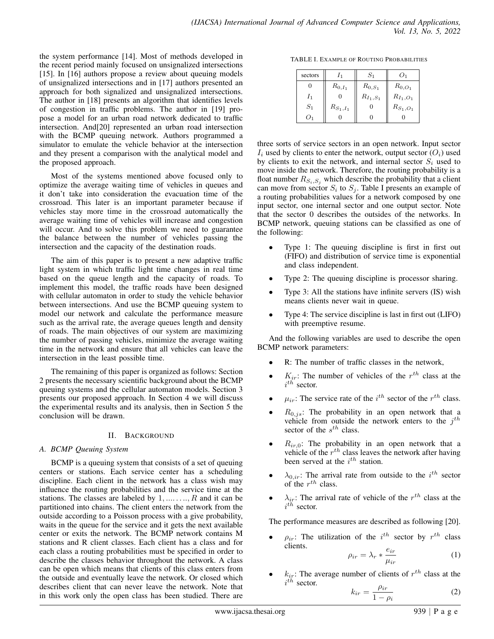the system performance [14]. Most of methods developed in the recent period mainly focused on unsignalized intersections [15]. In [16] authors propose a review about queuing models of unsignalized intersections and in [17] authors presented an approach for both signalized and unsignalized intersections. The author in [18] presents an algorithm that identifies levels of congestion in traffic problems. The author in [19] propose a model for an urban road network dedicated to traffic intersection. And[20] represented an urban road intersection with the BCMP queuing network. Authors programmed a simulator to emulate the vehicle behavior at the intersection and they present a comparison with the analytical model and the proposed approach.

Most of the systems mentioned above focused only to optimize the average waiting time of vehicles in queues and it don't take into consideration the evacuation time of the crossroad. This later is an important parameter because if vehicles stay more time in the crossroad automatically the average waiting time of vehicles will increase and congestion will occur. And to solve this problem we need to guarantee the balance between the number of vehicles passing the intersection and the capacity of the destination roads.

The aim of this paper is to present a new adaptive traffic light system in which traffic light time changes in real time based on the queue length and the capacity of roads. To implement this model, the traffic roads have been designed with cellular automaton in order to study the vehicle behavior between intersections. And use the BCMP queuing system to model our network and calculate the performance measure such as the arrival rate, the average queues length and density of roads. The main objectives of our system are maximizing the number of passing vehicles, minimize the average waiting time in the network and ensure that all vehicles can leave the intersection in the least possible time.

The remaining of this paper is organized as follows: Section 2 presents the necessary scientific background about the BCMP queuing systems and the cellular automaton models. Section 3 presents our proposed approach. In Section 4 we will discuss the experimental results and its analysis, then in Section 5 the conclusion will be drawn.

# II. BACKGROUND

# *A. BCMP Queuing System*

BCMP is a queuing system that consists of a set of queuing centers or stations. Each service center has a scheduling discipline. Each client in the network has a class wish may influence the routing probabilities and the service time at the stations. The classes are labeled by  $1, \ldots, R$  and it can be partitioned into chains. The client enters the network from the outside according to a Poisson process with a give probability, waits in the queue for the service and it gets the next available center or exits the network. The BCMP network contains M stations and R client classes. Each client has a class and for each class a routing probabilities must be specified in order to describe the classes behavior throughout the network. A class can be open which means that clients of this class enters from the outside and eventually leave the network. Or closed which describes client that can never leave the network. Note that in this work only the open class has been studied. There are

TABLE I. EXAMPLE OF ROUTING PROBABILITIES

| sectors | I <sub>1</sub> | $S_{1}$       | O <sub>1</sub> |
|---------|----------------|---------------|----------------|
| 0       | $R_{0,I_1}$    | $R_{0, S_1}$  | $R_{0,O_1}$    |
| $I_1$   | 0              | $R_{I_1,S_1}$ | $R_{I_1, O_1}$ |
| $S_1$   | $R_{S_1,I_1}$  |               | $R_{S_1,O_1}$  |
| $()_1$  |                |               |                |

three sorts of service sectors in an open network. Input sector  $I_i$  used by clients to enter the network, output sector  $(O_i)$  used by clients to exit the network, and internal sector  $S_i$  used to move inside the network. Therefore, the routing probability is a float number  $R_{S_i, S_j}$  which describe the probability that a client can move from sector  $S_i$  to  $S_j$ . Table I presents an example of a routing probabilities values for a network composed by one input sector, one internal sector and one output sector. Note that the sector 0 describes the outsides of the networks. In BCMP network, queuing stations can be classified as one of the following:

- Type 1: The queuing discipline is first in first out (FIFO) and distribution of service time is exponential and class independent.
- Type 2: The queuing discipline is processor sharing.
- Type 3: All the stations have infinite servers (IS) wish means clients never wait in queue.
- Type 4: The service discipline is last in first out (LIFO) with preemptive resume.

And the following variables are used to describe the open BCMP network parameters:

- R: The number of traffic classes in the network,
- $K_{ir}$ : The number of vehicles of the  $r^{th}$  class at the  $i^{th}$  sector.
- $\bullet$   $\mu_{ir}$ : The service rate of the i<sup>th</sup> sector of the r<sup>th</sup> class.
- $R_{0,j,s}$ : The probability in an open network that a vehicle from outside the network enters to the  $j^{th}$ sector of the  $s^{th}$  class.
- $R_{ir,0}$ : The probability in an open network that a vehicle of the  $r^{th}$  class leaves the network after having been served at the  $i^{th}$  station.
- $\lambda_{0,ir}$ : The arrival rate from outside to the  $i^{th}$  sector of the  $r^{th}$  class.
- $\lambda_{ir}$ : The arrival rate of vehicle of the  $r^{th}$  class at the  $i^{th}$  sector.

The performance measures are described as following [20].

•  $\rho_{ir}$ : The utilization of the i<sup>th</sup> sector by  $r^{th}$  class clients. eir

$$
\rho_{ir} = \lambda_r * \frac{\epsilon_{ir}}{\mu_{ir}} \tag{1}
$$

•  $k_{ir}$ : The average number of clients of  $r^{th}$  class at the  $i^{th}$  sector.

$$
k_{ir} = \frac{\rho_{ir}}{1 - \rho_i} \tag{2}
$$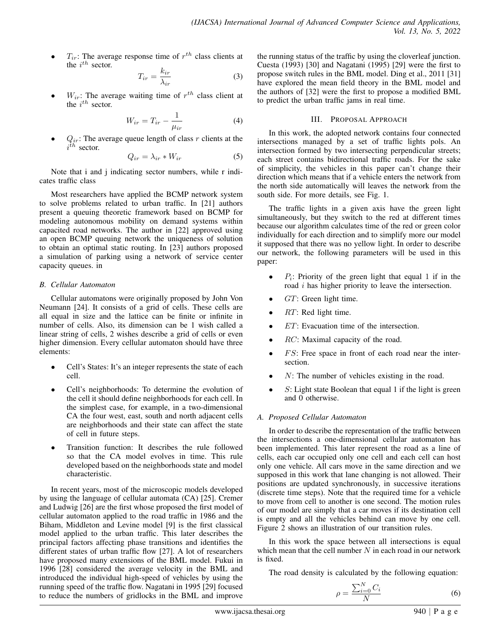•  $T_{ir}$ : The average response time of  $r^{th}$  class clients at the  $i^{th}$  sector.

$$
T_{ir} = \frac{k_{ir}}{\lambda_{ir}}\tag{3}
$$

•  $W_{ir}$ : The average waiting time of  $r^{th}$  class client at the  $i^{th}$  sector.

$$
W_{ir} = T_{ir} - \frac{1}{\mu_{ir}} \tag{4}
$$

•  $Q_{ir}$ : The average queue length of class r clients at the  $i^{th}$  sector.

$$
Q_{ir} = \lambda_{ir} * W_{ir} \tag{5}
$$

Note that i and j indicating sector numbers, while r indicates traffic class

Most researchers have applied the BCMP network system to solve problems related to urban traffic. In [21] authors present a queuing theoretic framework based on BCMP for modeling autonomous mobility on demand systems within capacited road networks. The author in [22] approved using an open BCMP queuing network the uniqueness of solution to obtain an optimal static routing. In [23] authors proposed a simulation of parking using a network of service center capacity queues. in

# *B. Cellular Automaton*

Cellular automatons were originally proposed by John Von Neumann [24]. It consists of a grid of cells. These cells are all equal in size and the lattice can be finite or infinite in number of cells. Also, its dimension can be 1 wish called a linear string of cells, 2 wishes describe a grid of cells or even higher dimension. Every cellular automaton should have three elements:

- Cell's States: It's an integer represents the state of each cell.
- Cell's neighborhoods: To determine the evolution of the cell it should define neighborhoods for each cell. In the simplest case, for example, in a two-dimensional CA the four west, east, south and north adjacent cells are neighborhoods and their state can affect the state of cell in future steps.
- Transition function: It describes the rule followed so that the CA model evolves in time. This rule developed based on the neighborhoods state and model characteristic.

In recent years, most of the microscopic models developed by using the language of cellular automata (CA) [25]. Cremer and Ludwig [26] are the first whose proposed the first model of cellular automaton applied to the road traffic in 1986 and the Biham, Middleton and Levine model [9] is the first classical model applied to the urban traffic. This later describes the principal factors affecting phase transitions and identifies the different states of urban traffic flow [27]. A lot of researchers have proposed many extensions of the BML model. Fukui in 1996 [28] considered the average velocity in the BML and introduced the individual high-speed of vehicles by using the running speed of the traffic flow. Nagatani in 1995 [29] focused to reduce the numbers of gridlocks in the BML and improve

the running status of the traffic by using the cloverleaf junction. Cuesta (1993) [30] and Nagatani (1995) [29] were the first to propose switch rules in the BML model. Ding et al., 2011 [31] have explored the mean field theory in the BML model and the authors of [32] were the first to propose a modified BML to predict the urban traffic jams in real time.

# III. PROPOSAL APPROACH

In this work, the adopted network contains four connected intersections managed by a set of traffic lights pols. An intersection formed by two intersecting perpendicular streets; each street contains bidirectional traffic roads. For the sake of simplicity, the vehicles in this paper can't change their direction which means that if a vehicle enters the network from the north side automatically will leaves the network from the south side. For more details, see Fig. 1.

The traffic lights in a given axis have the green light simultaneously, but they switch to the red at different times because our algorithm calculates time of the red or green color individually for each direction and to simplify more our model it supposed that there was no yellow light. In order to describe our network, the following parameters will be used in this paper:

- $P_i$ : Priority of the green light that equal 1 if in the road i has higher priority to leave the intersection.
- $GT$ : Green light time.
- $RT$ : Red light time.
- $ET:$  Evacuation time of the intersection.
- *RC*: Maximal capacity of the road.
- $FS$ : Free space in front of each road near the intersection.
- $N$ : The number of vehicles existing in the road.
- $S$ : Light state Boolean that equal 1 if the light is green and 0 otherwise.

# *A. Proposed Cellular Automaton*

In order to describe the representation of the traffic between the intersections a one-dimensional cellular automaton has been implemented. This later represent the road as a line of cells, each car occupied only one cell and each cell can host only one vehicle. All cars move in the same direction and we supposed in this work that lane changing is not allowed. Their positions are updated synchronously, in successive iterations (discrete time steps). Note that the required time for a vehicle to move from cell to another is one second. The motion rules of our model are simply that a car moves if its destination cell is empty and all the vehicles behind can move by one cell. Figure 2 shows an illustration of our transition rules.

In this work the space between all intersections is equal which mean that the cell number  $N$  in each road in our network is fixed.

The road density is calculated by the following equation:

$$
\rho = \frac{\sum_{i=0}^{N} C_i}{N} \tag{6}
$$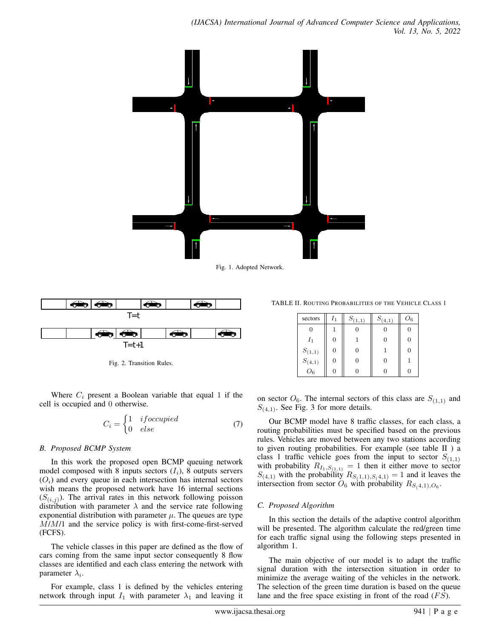

Fig. 1. Adopted Network.



Fig. 2. Transition Rules.

Where  $C_i$  present a Boolean variable that equal 1 if the cell is occupied and 0 otherwise.

$$
C_i = \begin{cases} 1 & if occupied \\ 0 & else \end{cases}
$$
 (7)

# *B. Proposed BCMP System*

In this work the proposed open BCMP queuing network model composed with 8 inputs sectors  $(I_i)$ , 8 outputs servers  $(O<sub>i</sub>)$  and every queue in each intersection has internal sectors wish means the proposed network have 16 internal sections  $(S_{(i,j)})$ . The arrival rates in this network following poisson distribution with parameter  $\lambda$  and the service rate following exponential distribution with parameter  $\mu$ . The queues are type M/M/1 and the service policy is with first-come-first-served (FCFS).

The vehicle classes in this paper are defined as the flow of cars coming from the same input sector consequently 8 flow classes are identified and each class entering the network with parameter  $\lambda_i$ .

For example, class 1 is defined by the vehicles entering network through input  $I_1$  with parameter  $\lambda_1$  and leaving it

TABLE II. ROUTING PROBABILITIES OF THE VEHICLE CLASS 1

| sectors                          | $I_1$ | $S_{(1,1)}$ | $S_{(4,1)}$ | $O_6$ |
|----------------------------------|-------|-------------|-------------|-------|
| 0                                |       |             |             | 0     |
| $I_1$                            | 0     |             | 0           | 0     |
| $S_{(1,1)}$                      | 0     |             |             | 0     |
|                                  | 0     |             | O           |       |
| $S_{\left( 4,1\right) }$ $O_{6}$ |       |             |             |       |

on sector  $O_6$ . The internal sectors of this class are  $S_{(1,1)}$  and  $S_{(4,1)}$ . See Fig. 3 for more details.

Our BCMP model have 8 traffic classes, for each class, a routing probabilities must be specified based on the previous rules. Vehicles are moved between any two stations according to given routing probabilities. For example (see table II ) a class 1 traffic vehicle goes from the input to sector  $S_{(1,1)}$ with probability  $R_{I_1, S_{(1,1)}} = 1$  then it either move to sector  $S_{(4,1)}$  with the probability  $R_{S(1,1),S(4,1)} = 1$  and it leaves the intersection from sector  $O_6$  with probability  $R_{S(4,1),O_6}$ .

# *C. Proposed Algorithm*

In this section the details of the adaptive control algorithm will be presented. The algorithm calculate the red/green time for each traffic signal using the following steps presented in algorithm 1.

The main objective of our model is to adapt the traffic signal duration with the intersection situation in order to minimize the average waiting of the vehicles in the network. The selection of the green time duration is based on the queue lane and the free space existing in front of the road  $(FS)$ .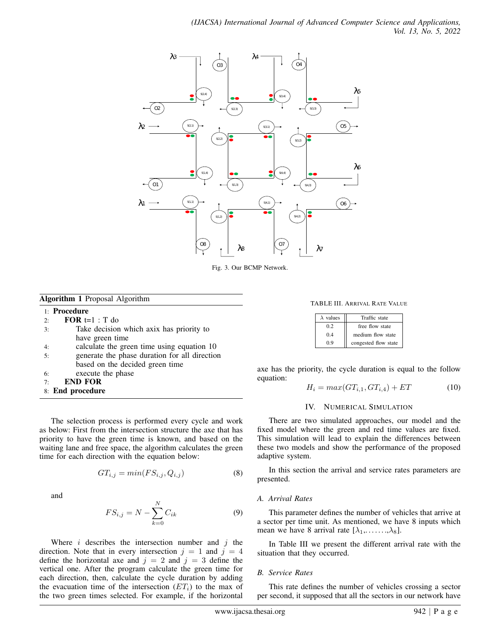

Fig. 3. Our BCMP Network.

# Algorithm 1 Proposal Algorithm

## 1: Procedure

- 2: **FOR**  $t=1$  : T do
- 3: Take decision which axix has priority to have green time
- 4: calculate the green time using equation 10
- 5: generate the phase duration for all direction based on the decided green time
- 6: execute the phase
- 7: END FOR
- 8: End procedure

The selection process is performed every cycle and work as below: First from the intersection structure the axe that has priority to have the green time is known, and based on the waiting lane and free space, the algorithm calculates the green time for each direction with the equation below:

$$
GT_{i,j} = min(FS_{i,j}, Q_{i,j})
$$
\n(8)

and

$$
FS_{i,j} = N - \sum_{k=0}^{N} C_{ik}
$$
 (9)

Where  $i$  describes the intersection number and  $j$  the direction. Note that in every intersection  $j = 1$  and  $j = 4$ define the horizontal axe and  $j = 2$  and  $j = 3$  define the vertical one. After the program calculate the green time for each direction, then, calculate the cycle duration by adding the evacuation time of the intersection  $(ET_i)$  to the max of the two green times selected. For example, if the horizontal

TABLE III. ARRIVAL RATE VALUE

| $\lambda$ values | Traffic state        |  |  |  |  |
|------------------|----------------------|--|--|--|--|
| 02               | free flow state      |  |  |  |  |
| 0.4              | medium flow state    |  |  |  |  |
| 09               | congested flow state |  |  |  |  |

axe has the priority, the cycle duration is equal to the follow equation:

$$
H_i = max(GT_{i,1}, GT_{i,4}) + ET \tag{10}
$$

## IV. NUMERICAL SIMULATION

There are two simulated approaches, our model and the fixed model where the green and red time values are fixed. This simulation will lead to explain the differences between these two models and show the performance of the proposed adaptive system.

In this section the arrival and service rates parameters are presented.

## *A. Arrival Rates*

This parameter defines the number of vehicles that arrive at a sector per time unit. As mentioned, we have 8 inputs which mean we have 8 arrival rate  $[\lambda_1, \ldots, \lambda_8]$ .

In Table III we present the different arrival rate with the situation that they occurred.

## *B. Service Rates*

This rate defines the number of vehicles crossing a sector per second, it supposed that all the sectors in our network have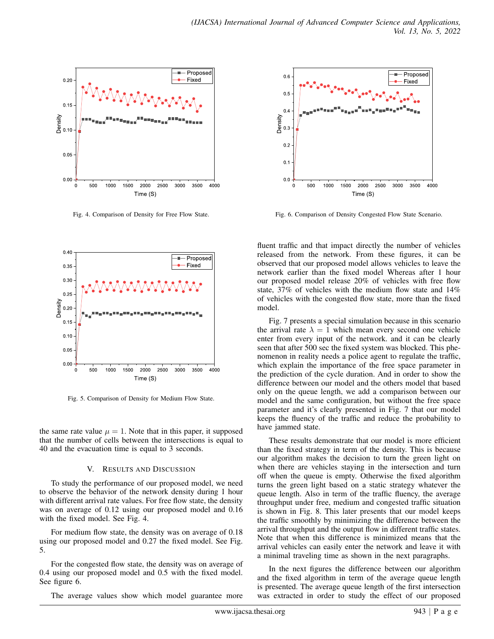

Fig. 4. Comparison of Density for Free Flow State.



Fig. 5. Comparison of Density for Medium Flow State.

the same rate value  $\mu = 1$ . Note that in this paper, it supposed that the number of cells between the intersections is equal to 40 and the evacuation time is equal to 3 seconds.

## V. RESULTS AND DISCUSSION

To study the performance of our proposed model, we need to observe the behavior of the network density during 1 hour with different arrival rate values. For free flow state, the density was on average of 0.12 using our proposed model and 0.16 with the fixed model. See Fig. 4.

For medium flow state, the density was on average of 0.18 using our proposed model and 0.27 the fixed model. See Fig. 5.

For the congested flow state, the density was on average of 0.4 using our proposed model and 0.5 with the fixed model. See figure 6.

The average values show which model guarantee more



Fig. 6. Comparison of Density Congested Flow State Scenario.

fluent traffic and that impact directly the number of vehicles released from the network. From these figures, it can be observed that our proposed model allows vehicles to leave the network earlier than the fixed model Whereas after 1 hour our proposed model release 20% of vehicles with free flow state, 37% of vehicles with the medium flow state and 14% of vehicles with the congested flow state, more than the fixed model.

Fig. 7 presents a special simulation because in this scenario the arrival rate  $\lambda = 1$  which mean every second one vehicle enter from every input of the network. and it can be clearly seen that after 500 sec the fixed system was blocked. This phenomenon in reality needs a police agent to regulate the traffic, which explain the importance of the free space parameter in the prediction of the cycle duration. And in order to show the difference between our model and the others model that based only on the queue length, we add a comparison between our model and the same configuration, but without the free space parameter and it's clearly presented in Fig. 7 that our model keeps the fluency of the traffic and reduce the probability to have jammed state.

These results demonstrate that our model is more efficient than the fixed strategy in term of the density. This is because our algorithm makes the decision to turn the green light on when there are vehicles staying in the intersection and turn off when the queue is empty. Otherwise the fixed algorithm turns the green light based on a static strategy whatever the queue length. Also in term of the traffic fluency, the average throughput under free, medium and congested traffic situation is shown in Fig. 8. This later presents that our model keeps the traffic smoothly by minimizing the difference between the arrival throughput and the output flow in different traffic states. Note that when this difference is minimized means that the arrival vehicles can easily enter the network and leave it with a minimal traveling time as shown in the next paragraphs.

In the next figures the difference between our algorithm and the fixed algorithm in term of the average queue length is presented. The average queue length of the first intersection was extracted in order to study the effect of our proposed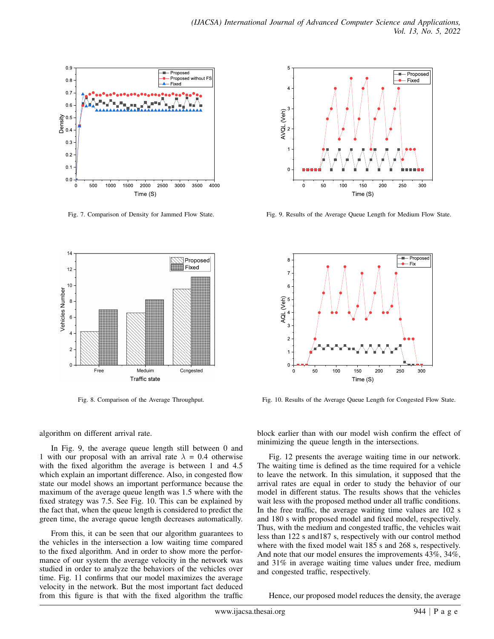

Fig. 7. Comparison of Density for Jammed Flow State.



Fig. 8. Comparison of the Average Throughput.



In Fig. 9, the average queue length still between 0 and 1 with our proposal with an arrival rate  $\lambda = 0.4$  otherwise with the fixed algorithm the average is between 1 and 4.5 which explain an important difference. Also, in congested flow state our model shows an important performance because the maximum of the average queue length was 1.5 where with the fixed strategy was 7.5. See Fig. 10. This can be explained by the fact that, when the queue length is considered to predict the green time, the average queue length decreases automatically.

From this, it can be seen that our algorithm guarantees to the vehicles in the intersection a low waiting time compared to the fixed algorithm. And in order to show more the performance of our system the average velocity in the network was studied in order to analyze the behaviors of the vehicles over time. Fig. 11 confirms that our model maximizes the average velocity in the network. But the most important fact deduced from this figure is that with the fixed algorithm the traffic



Fig. 9. Results of the Average Queue Length for Medium Flow State.



Fig. 10. Results of the Average Queue Length for Congested Flow State.

block earlier than with our model wish confirm the effect of minimizing the queue length in the intersections.

Fig. 12 presents the average waiting time in our network. The waiting time is defined as the time required for a vehicle to leave the network. In this simulation, it supposed that the arrival rates are equal in order to study the behavior of our model in different status. The results shows that the vehicles wait less with the proposed method under all traffic conditions. In the free traffic, the average waiting time values are 102 s and 180 s with proposed model and fixed model, respectively. Thus, with the medium and congested traffic, the vehicles wait less than 122 s and187 s, respectively with our control method where with the fixed model wait 185 s and 268 s, respectively. And note that our model ensures the improvements 43%, 34%, and 31% in average waiting time values under free, medium and congested traffic, respectively.

Hence, our proposed model reduces the density, the average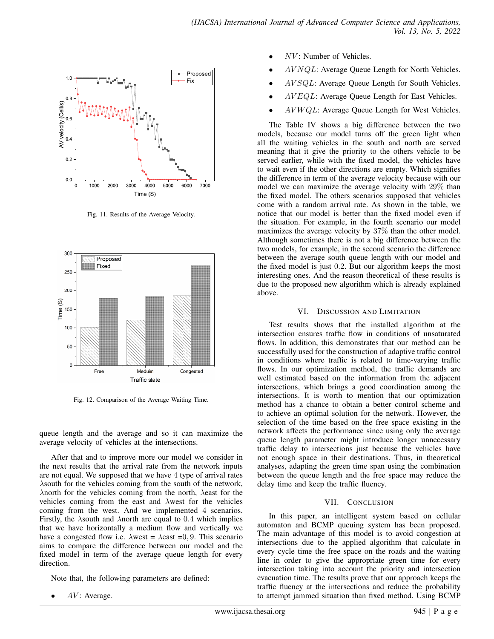

Fig. 11. Results of the Average Velocity.



Fig. 12. Comparison of the Average Waiting Time.

queue length and the average and so it can maximize the average velocity of vehicles at the intersections.

After that and to improve more our model we consider in the next results that the arrival rate from the network inputs are not equal. We supposed that we have 4 type of arrival rates λsouth for the vehicles coming from the south of the network, λnorth for the vehicles coming from the north, λeast for the vehicles coming from the east and λwest for the vehicles coming from the west. And we implemented 4 scenarios. Firstly, the  $\lambda$ south and  $\lambda$ north are equal to 0.4 which implies that we have horizontally a medium flow and vertically we have a congested flow i.e.  $\lambda$ west =  $\lambda$ east =0, 9. This scenario aims to compare the difference between our model and the fixed model in term of the average queue length for every direction.

Note that, the following parameters are defined:

 $AV:$  Average.

- $NV$ : Number of Vehicles.
- $AVNQL$ : Average Queue Length for North Vehicles.
- AV SQL: Average Queue Length for South Vehicles.
- AV EQL: Average Queue Length for East Vehicles.
- $AVWQL$ : Average Queue Length for West Vehicles.

The Table IV shows a big difference between the two models, because our model turns off the green light when all the waiting vehicles in the south and north are served meaning that it give the priority to the others vehicle to be served earlier, while with the fixed model, the vehicles have to wait even if the other directions are empty. Which signifies the difference in term of the average velocity because with our model we can maximize the average velocity with 29% than the fixed model. The others scenarios supposed that vehicles come with a random arrival rate. As shown in the table, we notice that our model is better than the fixed model even if the situation. For example, in the fourth scenario our model maximizes the average velocity by 37% than the other model. Although sometimes there is not a big difference between the two models, for example, in the second scenario the difference between the average south queue length with our model and the fixed model is just 0.2. But our algorithm keeps the most interesting ones. And the reason theoretical of these results is due to the proposed new algorithm which is already explained above.

## VI. DISCUSSION AND LIMITATION

Test results shows that the installed algorithm at the intersection ensures traffic flow in conditions of unsaturated flows. In addition, this demonstrates that our method can be successfully used for the construction of adaptive traffic control in conditions where traffic is related to time-varying traffic flows. In our optimization method, the traffic demands are well estimated based on the information from the adjacent intersections, which brings a good coordination among the intersections. It is worth to mention that our optimization method has a chance to obtain a better control scheme and to achieve an optimal solution for the network. However, the selection of the time based on the free space existing in the network affects the performance since using only the average queue length parameter might introduce longer unnecessary traffic delay to intersections just because the vehicles have not enough space in their destinations. Thus, in theoretical analyses, adapting the green time span using the combination between the queue length and the free space may reduce the delay time and keep the traffic fluency.

## VII. CONCLUSION

In this paper, an intelligent system based on cellular automaton and BCMP queuing system has been proposed. The main advantage of this model is to avoid congestion at intersections due to the applied algorithm that calculate in every cycle time the free space on the roads and the waiting line in order to give the appropriate green time for every intersection taking into account the priority and intersection evacuation time. The results prove that our approach keeps the traffic fluency at the intersections and reduce the probability to attempt jammed situation than fixed method. Using BCMP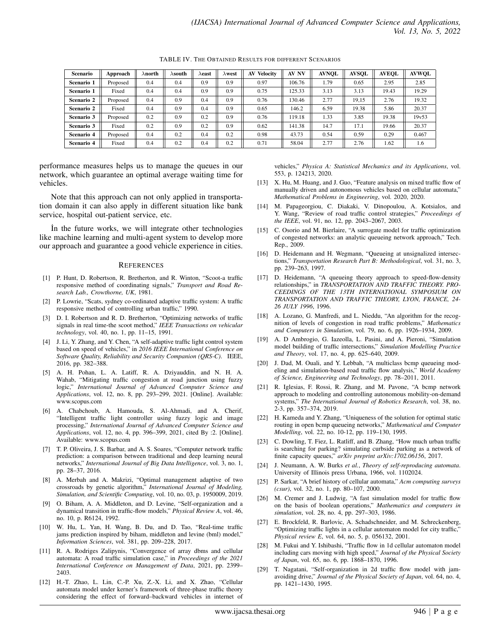TABLE IV. THE OBTAINED RESULTS FOR DIFFERENT SCENARIOS

| <b>Scenario</b>   | Approach | $\lambda$ north | $\lambda$ south | $\lambda$ east | $\lambda$ west | <b>Velocity</b><br>AV | AV NV  | <b>AVNOL</b> | <b>AVSOL</b> | <b>AVEOL</b> | <b>AVWOL</b> |
|-------------------|----------|-----------------|-----------------|----------------|----------------|-----------------------|--------|--------------|--------------|--------------|--------------|
| Scenario 1        | Proposed | 0.4             | 0.4             | 0.9            | 0.9            | 0.97                  | 106.76 | 1.79         | 0.65         | 2.95         | 2.85         |
| Scenario 1        | Fixed    | 0.4             | 0.4             | 0.9            | 0.9            | 0.75                  | 125.33 | 3.13         | 3.13         | 19.43        | 19.29        |
| Scenario 2        | Proposed | 0.4             | 0.9             | 0.4            | 0.9            | 0.76                  | 130.46 | 2.77         | 19.15        | 2.76         | 19.32        |
| Scenario 2        | Fixed    | 0.4             | 0.9             | 0.4            | 0.9            | 0.65                  | 146.2  | 6.59         | 19.38        | 5.86         | 20.37        |
| Scenario 3        | Proposed | 0.2             | 0.9             | 0.2            | 0.9            | 0.76                  | 119.18 | 1.33         | 3.85         | 19.38        | 19v53        |
| Scenario 3        | Fixed    | 0.2             | 0.9             | 0.2            | 0.9            | 0.62                  | 141.38 | 14.7         | 17.1         | 19.66        | 20.37        |
| <b>Scenario 4</b> | Proposed | 0.4             | 0.2             | 0.4            | 0.2            | 0.98                  | 43.73  | 0.54         | 0.59         | 0.29         | 0.467        |
| Scenario 4        | Fixed    | 0.4             | 0.2             | 0.4            | 0.2            | 0.71                  | 58.04  | 2.77         | 2.76         | 1.62         | 1.6          |

performance measures helps us to manage the queues in our network, which guarantee an optimal average waiting time for vehicles.

Note that this approach can not only applied in transportation domain it can also apply in different situation like bank service, hospital out-patient service, etc.

In the future works, we will integrate other technologies like machine learning and multi-agent system to develop more our approach and guarantee a good vehicle experience in cities.

#### **REFERENCES**

- [1] P. Hunt, D. Robertson, R. Bretherton, and R. Winton, "Scoot-a traffic responsive method of coordinating signals," *Transport and Road Research Lab., Crowthorne, UK*, 1981.
- [2] P. Lowrie, "Scats, sydney co-ordinated adaptive traffic system: A traffic responsive method of controlling urban traffic," 1990.
- [3] D. I. Robertson and R. D. Bretherton, "Optimizing networks of traffic signals in real time-the scoot method," *IEEE Transactions on vehicular technology*, vol. 40, no. 1, pp. 11–15, 1991.
- [4] J. Li, Y. Zhang, and Y. Chen, "A self-adaptive traffic light control system based on speed of vehicles," in *2016 IEEE International Conference on Software Quality, Reliability and Security Companion (QRS-C)*. IEEE, 2016, pp. 382–388.
- [5] A. H. Pohan, L. A. Latiff, R. A. Dziyauddin, and N. H. A. Wahab, "Mitigating traffic congestion at road junction using fuzzy logic," *International Journal of Advanced Computer Science and Applications*, vol. 12, no. 8, pp. 293–299, 2021. [Online]. Available: www.scopus.com
- [6] A. Chabchoub, A. Hamouda, S. Al-Ahmadi, and A. Cherif, "Intelligent traffic light controller using fuzzy logic and image processing," *International Journal of Advanced Computer Science and Applications*, vol. 12, no. 4, pp. 396–399, 2021, cited By :2. [Online]. Available: www.scopus.com
- [7] T. P. Oliveira, J. S. Barbar, and A. S. Soares, "Computer network traffic prediction: a comparison between traditional and deep learning neural networks," *International Journal of Big Data Intelligence*, vol. 3, no. 1, pp. 28–37, 2016.
- [8] A. Merbah and A. Makrizi, "Optimal management adaptive of two crossroads by genetic algorithm," *International Journal of Modeling, Simulation, and Scientific Computing*, vol. 10, no. 03, p. 1950009, 2019.
- [9] O. Biham, A. A. Middleton, and D. Levine, "Self-organization and a dynamical transition in traffic-flow models," *Physical Review A*, vol. 46, no. 10, p. R6124, 1992.
- [10] W. Hu, L. Yan, H. Wang, B. Du, and D. Tao, "Real-time traffic jams prediction inspired by biham, middleton and levine (bml) model," *Information Sciences*, vol. 381, pp. 209–228, 2017.
- [11] R. A. Rodriges Zalipynis, "Convergence of array dbms and cellular automata: A road traffic simulation case," in *Proceedings of the 2021 International Conference on Management of Data*, 2021, pp. 2399– 2403.
- [12] H.-T. Zhao, L. Lin, C.-P. Xu, Z.-X. Li, and X. Zhao, "Cellular automata model under kerner's framework of three-phase traffic theory considering the effect of forward–backward vehicles in internet of

vehicles," *Physica A: Statistical Mechanics and its Applications*, vol. 553, p. 124213, 2020.

- [13] X. Hu, M. Huang, and J. Guo, "Feature analysis on mixed traffic flow of manually driven and autonomous vehicles based on cellular automata," *Mathematical Problems in Engineering*, vol. 2020, 2020.
- [14] M. Papageorgiou, C. Diakaki, V. Dinopoulou, A. Kotsialos, and Y. Wang, "Review of road traffic control strategies," *Proceedings of the IEEE*, vol. 91, no. 12, pp. 2043–2067, 2003.
- [15] C. Osorio and M. Bierlaire, "A surrogate model for traffic optimization of congested networks: an analytic queueing network approach," Tech. Rep., 2009.
- [16] D. Heidemann and H. Wegmann, "Queueing at unsignalized intersections," *Transportation Research Part B: Methodological*, vol. 31, no. 3, pp. 239–263, 1997.
- [17] D. Heidemann, "A queueing theory approach to speed-flow-density relationships," in *TRANSPORTATION AND TRAFFIC THEORY. PRO-CEEDINGS OF THE 13TH INTERNATIONAL SYMPOSIUM ON TRANSPORTATION AND TRAFFIC THEORY, LYON, FRANCE, 24- 26 JULY 1996*, 1996.
- [18] A. Lozano, G. Manfredi, and L. Nieddu, "An algorithm for the recognition of levels of congestion in road traffic problems," *Mathematics and Computers in Simulation*, vol. 79, no. 6, pp. 1926–1934, 2009.
- [19] A. D Ambrogio, G. Iazeolla, L. Pasini, and A. Pieroni, "Simulation model building of traffic intersections," *Simulation Modelling Practice and Theory*, vol. 17, no. 4, pp. 625–640, 2009.
- [20] J. Dad, M. Ouali, and Y. Lebbah, "A multiclass bemp queueing modeling and simulation-based road traffic flow analysis," *World Academy of Science, Engineering and Technology*, pp. 78–2011, 2011.
- [21] R. Iglesias, F. Rossi, R. Zhang, and M. Pavone, "A bcmp network approach to modeling and controlling autonomous mobility-on-demand systems," *The International Journal of Robotics Research*, vol. 38, no. 2-3, pp. 357–374, 2019.
- [22] H. Kameda and Y. Zhang, "Uniqueness of the solution for optimal static routing in open bcmp queueing networks," *Mathematical and Computer Modelling*, vol. 22, no. 10-12, pp. 119–130, 1995.
- [23] C. Dowling, T. Fiez, L. Ratliff, and B. Zhang, "How much urban traffic is searching for parking? simulating curbside parking as a network of finite capacity queues," *arXiv preprint arXiv:1702.06156*, 2017.
- [24] J. Neumann, A. W. Burks *et al.*, *Theory of self-reproducing automata*. University of Illinois press Urbana, 1966, vol. 1102024.
- [25] P. Sarkar, "A brief history of cellular automata," *Acm computing surveys (csur)*, vol. 32, no. 1, pp. 80–107, 2000.
- [26] M. Cremer and J. Ludwig, "A fast simulation model for traffic flow on the basis of boolean operations," *Mathematics and computers in simulation*, vol. 28, no. 4, pp. 297–303, 1986.
- [27] E. Brockfeld, R. Barlovic, A. Schadschneider, and M. Schreckenberg, "Optimizing traffic lights in a cellular automaton model for city traffic," *Physical review E*, vol. 64, no. 5, p. 056132, 2001.
- [28] M. Fukui and Y. Ishibashi, "Traffic flow in 1d cellular automaton model including cars moving with high speed," *Journal of the Physical Society of Japan*, vol. 65, no. 6, pp. 1868–1870, 1996.
- [29] T. Nagatani, "Self-organization in 2d traffic flow model with jamavoiding drive," *Journal of the Physical Society of Japan*, vol. 64, no. 4, pp. 1421–1430, 1995.